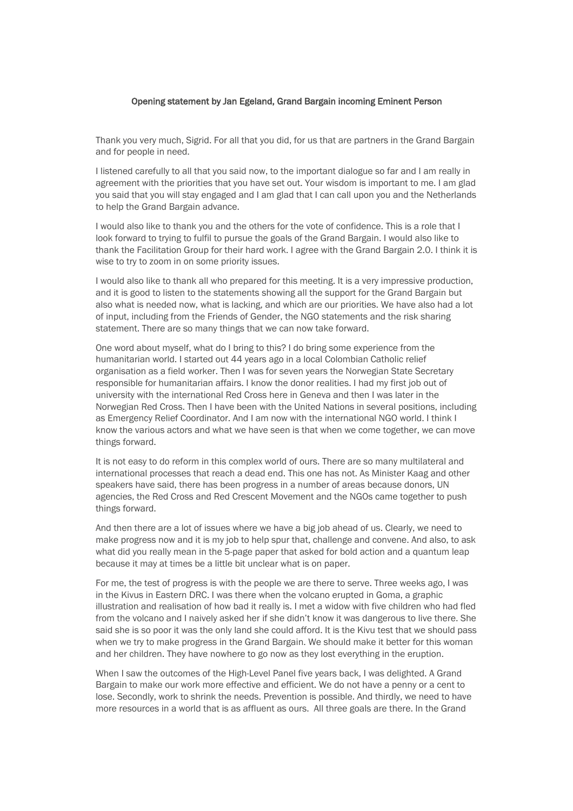## Opening statement by Jan Egeland, Grand Bargain incoming Eminent Person

Thank you very much, Sigrid. For all that you did, for us that are partners in the Grand Bargain and for people in need.

I listened carefully to all that you said now, to the important dialogue so far and I am really in agreement with the priorities that you have set out. Your wisdom is important to me. I am glad you said that you will stay engaged and I am glad that I can call upon you and the Netherlands to help the Grand Bargain advance.

I would also like to thank you and the others for the vote of confidence. This is a role that I look forward to trying to fulfil to pursue the goals of the Grand Bargain. I would also like to thank the Facilitation Group for their hard work. I agree with the Grand Bargain 2.0. I think it is wise to try to zoom in on some priority issues.

I would also like to thank all who prepared for this meeting. It is a very impressive production, and it is good to listen to the statements showing all the support for the Grand Bargain but also what is needed now, what is lacking, and which are our priorities. We have also had a lot of input, including from the Friends of Gender, the NGO statements and the risk sharing statement. There are so many things that we can now take forward.

One word about myself, what do I bring to this? I do bring some experience from the humanitarian world. I started out 44 years ago in a local Colombian Catholic relief organisation as a field worker. Then I was for seven years the Norwegian State Secretary responsible for humanitarian affairs. I know the donor realities. I had my first job out of university with the international Red Cross here in Geneva and then I was later in the Norwegian Red Cross. Then I have been with the United Nations in several positions, including as Emergency Relief Coordinator. And I am now with the international NGO world. I think I know the various actors and what we have seen is that when we come together, we can move things forward.

It is not easy to do reform in this complex world of ours. There are so many multilateral and international processes that reach a dead end. This one has not. As Minister Kaag and other speakers have said, there has been progress in a number of areas because donors, UN agencies, the Red Cross and Red Crescent Movement and the NGOs came together to push things forward.

And then there are a lot of issues where we have a big job ahead of us. Clearly, we need to make progress now and it is my job to help spur that, challenge and convene. And also, to ask what did you really mean in the 5-page paper that asked for bold action and a quantum leap because it may at times be a little bit unclear what is on paper.

For me, the test of progress is with the people we are there to serve. Three weeks ago, I was in the Kivus in Eastern DRC. I was there when the volcano erupted in Goma, a graphic illustration and realisation of how bad it really is. I met a widow with five children who had fled from the volcano and I naively asked her if she didn't know it was dangerous to live there. She said she is so poor it was the only land she could afford. It is the Kivu test that we should pass when we try to make progress in the Grand Bargain. We should make it better for this woman and her children. They have nowhere to go now as they lost everything in the eruption.

When I saw the outcomes of the High-Level Panel five years back, I was delighted. A Grand Bargain to make our work more effective and efficient. We do not have a penny or a cent to lose. Secondly, work to shrink the needs. Prevention is possible. And thirdly, we need to have more resources in a world that is as affluent as ours. All three goals are there. In the Grand